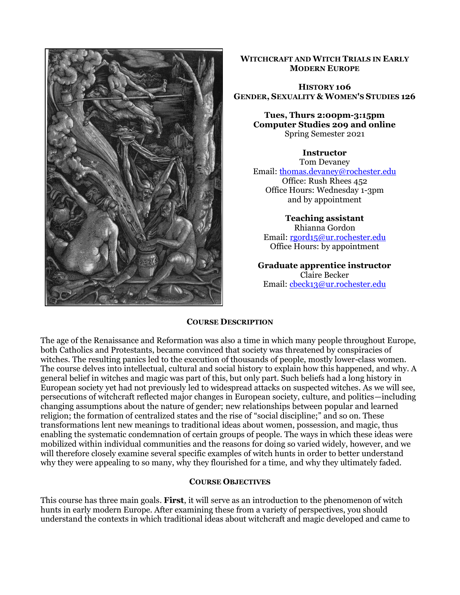

#### **WITCHCRAFT AND WITCH TRIALS IN EARLY MODERN EUROPE**

#### **HISTORY 106 GENDER, SEXUALITY & WOMEN'S STUDIES 126**

**Tues, Thurs 2:00pm-3:15pm Computer Studies 209 and online** Spring Semester 2021

#### **Instructor**

Tom Devaney Email: [thomas.devaney@rochester.edu](mailto:thomas.devaney@rochester.edu) Office: Rush Rhees 452 Office Hours: Wednesday 1-3pm and by appointment

**Teaching assistant** Rhianna Gordon Email[: rgord15@ur.rochester.edu](mailto:rgord15@ur.rochester.edu) Office Hours: by appointment

**Graduate apprentice instructor**  Claire Becker Email: [cbeck13@ur.rochester.edu](mailto:cbeck13@ur.rochester.edu)

#### **COURSE DESCRIPTION**

The age of the Renaissance and Reformation was also a time in which many people throughout Europe, both Catholics and Protestants, became convinced that society was threatened by conspiracies of witches. The resulting panics led to the execution of thousands of people, mostly lower-class women. The course delves into intellectual, cultural and social history to explain how this happened, and why. A general belief in witches and magic was part of this, but only part. Such beliefs had a long history in European society yet had not previously led to widespread attacks on suspected witches. As we will see, persecutions of witchcraft reflected major changes in European society, culture, and politics—including changing assumptions about the nature of gender; new relationships between popular and learned religion; the formation of centralized states and the rise of "social discipline;" and so on. These transformations lent new meanings to traditional ideas about women, possession, and magic, thus enabling the systematic condemnation of certain groups of people. The ways in which these ideas were mobilized within individual communities and the reasons for doing so varied widely, however, and we will therefore closely examine several specific examples of witch hunts in order to better understand why they were appealing to so many, why they flourished for a time, and why they ultimately faded.

#### **COURSE OBJECTIVES**

This course has three main goals. **First**, it will serve as an introduction to the phenomenon of witch hunts in early modern Europe. After examining these from a variety of perspectives, you should understand the contexts in which traditional ideas about witchcraft and magic developed and came to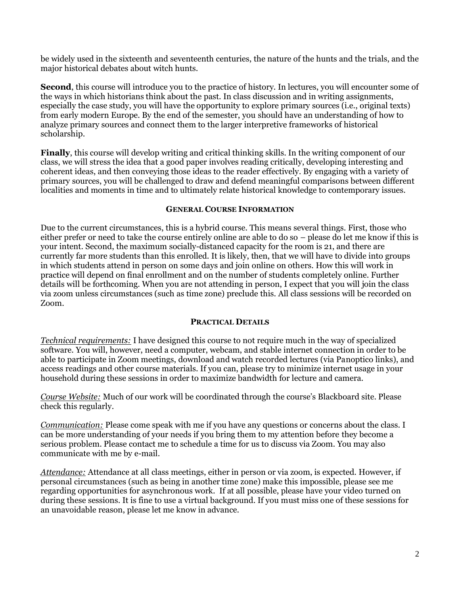be widely used in the sixteenth and seventeenth centuries, the nature of the hunts and the trials, and the major historical debates about witch hunts.

**Second**, this course will introduce you to the practice of history. In lectures, you will encounter some of the ways in which historians think about the past. In class discussion and in writing assignments, especially the case study, you will have the opportunity to explore primary sources (i.e., original texts) from early modern Europe. By the end of the semester, you should have an understanding of how to analyze primary sources and connect them to the larger interpretive frameworks of historical scholarship.

**Finally**, this course will develop writing and critical thinking skills. In the writing component of our class, we will stress the idea that a good paper involves reading critically, developing interesting and coherent ideas, and then conveying those ideas to the reader effectively. By engaging with a variety of primary sources, you will be challenged to draw and defend meaningful comparisons between different localities and moments in time and to ultimately relate historical knowledge to contemporary issues.

#### **GENERAL COURSE INFORMATION**

Due to the current circumstances, this is a hybrid course. This means several things. First, those who either prefer or need to take the course entirely online are able to do so – please do let me know if this is your intent. Second, the maximum socially-distanced capacity for the room is 21, and there are currently far more students than this enrolled. It is likely, then, that we will have to divide into groups in which students attend in person on some days and join online on others. How this will work in practice will depend on final enrollment and on the number of students completely online. Further details will be forthcoming. When you are not attending in person, I expect that you will join the class via zoom unless circumstances (such as time zone) preclude this. All class sessions will be recorded on Zoom.

#### **PRACTICAL DETAILS**

*Technical requirements:* I have designed this course to not require much in the way of specialized software. You will, however, need a computer, webcam, and stable internet connection in order to be able to participate in Zoom meetings, download and watch recorded lectures (via Panoptico links), and access readings and other course materials. If you can, please try to minimize internet usage in your household during these sessions in order to maximize bandwidth for lecture and camera.

*Course Website:* Much of our work will be coordinated through the course's Blackboard site. Please check this regularly.

*Communication:* Please come speak with me if you have any questions or concerns about the class. I can be more understanding of your needs if you bring them to my attention before they become a serious problem. Please contact me to schedule a time for us to discuss via Zoom. You may also communicate with me by e-mail.

*Attendance:* Attendance at all class meetings, either in person or via zoom, is expected. However, if personal circumstances (such as being in another time zone) make this impossible, please see me regarding opportunities for asynchronous work. If at all possible, please have your video turned on during these sessions. It is fine to use a virtual background. If you must miss one of these sessions for an unavoidable reason, please let me know in advance.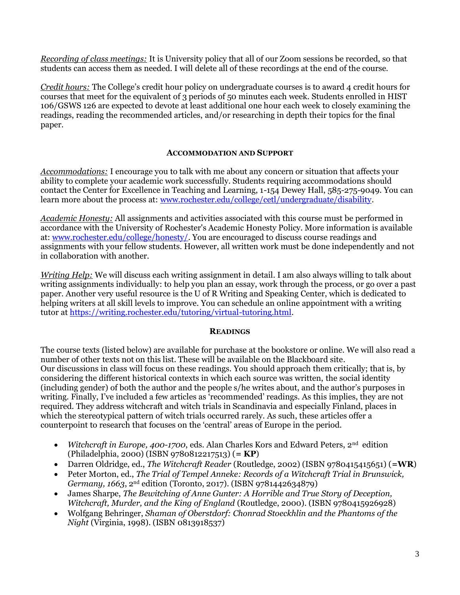*Recording of class meetings:* It is University policy that all of our Zoom sessions be recorded, so that students can access them as needed. I will delete all of these recordings at the end of the course.

*Credit hours:* The College's credit hour policy on undergraduate courses is to award 4 credit hours for courses that meet for the equivalent of 3 periods of 50 minutes each week. Students enrolled in HIST 106/GSWS 126 are expected to devote at least additional one hour each week to closely examining the readings, reading the recommended articles, and/or researching in depth their topics for the final paper.

### **ACCOMMODATION AND SUPPORT**

*Accommodations:* I encourage you to talk with me about any concern or situation that affects your ability to complete your academic work successfully. Students requiring accommodations should contact the Center for Excellence in Teaching and Learning, 1-154 Dewey Hall, 585-275-9049. You can learn more about the process at: [www.rochester.edu/college/cetl/undergraduate/disability.](http://www.rochester.edu/college/cetl/undergraduate/disability)

*Academic Honesty:* All assignments and activities associated with this course must be performed in accordance with the University of Rochester's Academic Honesty Policy. More information is available at: [www.rochester.edu/college/honesty/.](http://www.rochester.edu/college/honesty/) You are encouraged to discuss course readings and assignments with your fellow students. However, all written work must be done independently and not in collaboration with another.

*Writing Help:* We will discuss each writing assignment in detail. I am also always willing to talk about writing assignments individually: to help you plan an essay, work through the process, or go over a past paper. Another very useful resource is the U of R Writing and Speaking Center, which is dedicated to helping writers at all skill levels to improve. You can schedule an online appointment with a writing tutor at [https://writing.rochester.edu/tutoring/virtual-tutoring.html.](https://writing.rochester.edu/tutoring/virtual-tutoring.html)

#### **READINGS**

The course texts (listed below) are available for purchase at the bookstore or online. We will also read a number of other texts not on this list. These will be available on the Blackboard site. Our discussions in class will focus on these readings. You should approach them critically; that is, by considering the different historical contexts in which each source was written, the social identity (including gender) of both the author and the people s/he writes about, and the author's purposes in writing. Finally, I've included a few articles as 'recommended' readings. As this implies, they are not required. They address witchcraft and witch trials in Scandinavia and especially Finland, places in which the stereotypical pattern of witch trials occurred rarely. As such, these articles offer a counterpoint to research that focuses on the 'central' areas of Europe in the period.

- *Witchcraft in Europe, 400-1700*, eds. Alan Charles Kors and Edward Peters, 2<sup>nd</sup> edition (Philadelphia, 2000) (ISBN 9780812217513) (**= KP**)
- Darren Oldridge, ed., *The Witchcraft Reader* (Routledge, 2002) (ISBN 9780415415651) (**=WR**)
- Peter Morton, ed., *The Trial of Tempel Anneke: Records of a Witchcraft Trial in Brunswick, Germany, 1663*, 2nd edition (Toronto, 2017). (ISBN 9781442634879)
- James Sharpe, *The Bewitching of Anne Gunter: A Horrible and True Story of Deception, Witchcraft, Murder, and the King of England* (Routledge, 2000). (ISBN 9780415926928)
- Wolfgang Behringer, *Shaman of Oberstdorf: Chonrad Stoeckhlin and the Phantoms of the Night* (Virginia, 1998). (ISBN 0813918537)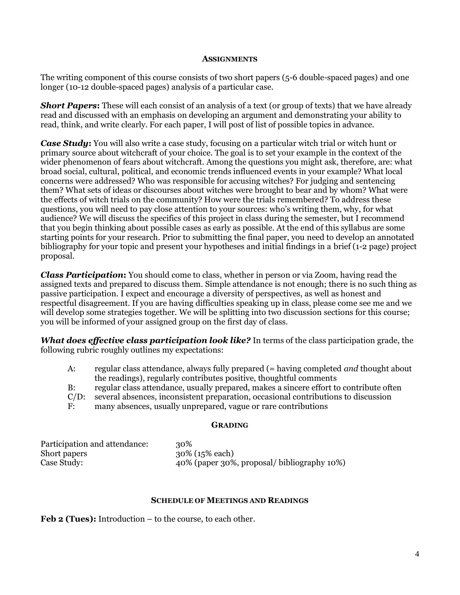#### **ASSIGNMENTS**

The writing component of this course consists of two short papers (5-6 double-spaced pages) and one longer (10-12 double-spaced pages) analysis of a particular case.

**Short Papers:** These will each consist of an analysis of a text (or group of texts) that we have already read and discussed with an emphasis on developing an argument and demonstrating your ability to read, think, and write clearly. For each paper, I will post of list of possible topics in advance.

*Case Study***:** You will also write a case study, focusing on a particular witch trial or witch hunt or primary source about witchcraft of your choice. The goal is to set your example in the context of the wider phenomenon of fears about witchcraft. Among the questions you might ask, therefore, are: what broad social, cultural, political, and economic trends influenced events in your example? What local concerns were addressed? Who was responsible for accusing witches? For judging and sentencing them? What sets of ideas or discourses about witches were brought to bear and by whom? What were the effects of witch trials on the community? How were the trials remembered? To address these questions, you will need to pay close attention to your sources: who's writing them, why, for what audience? We will discuss the specifics of this project in class during the semester, but I recommend that you begin thinking about possible cases as early as possible. At the end of this syllabus are some starting points for your research. Prior to submitting the final paper, you need to develop an annotated bibliography for your topic and present your hypotheses and initial findings in a brief (1-2 page) project proposal.

*Class Participation***:** You should come to class, whether in person or via Zoom, having read the assigned texts and prepared to discuss them. Simple attendance is not enough; there is no such thing as passive participation. I expect and encourage a diversity of perspectives, as well as honest and respectful disagreement. If you are having difficulties speaking up in class, please come see me and we will develop some strategies together. We will be splitting into two discussion sections for this course; you will be informed of your assigned group on the first day of class.

*What does effective class participation look like?* In terms of the class participation grade, the following rubric roughly outlines my expectations:

| A:      | regular class attendance, always fully prepared (= having completed <i>and</i> thought about |
|---------|----------------------------------------------------------------------------------------------|
|         | the readings), regularly contributes positive, thoughtful comments                           |
| B:      | regular class attendance, usually prepared, makes a sincere effort to contribute often       |
| $C/D$ : | several absences, inconsistent preparation, occasional contributions to discussion           |
| F:      | many absences, usually unprepared, vague or rare contributions                               |

#### **GRADING**

| Participation and attendance: | 30%                                        |
|-------------------------------|--------------------------------------------|
| Short papers                  | 30% (15% each)                             |
| Case Study:                   | 40% (paper 30%, proposal/bibliography 10%) |

#### **SCHEDULE OF MEETINGS AND READINGS**

**Feb 2 (Tues):** Introduction – to the course, to each other.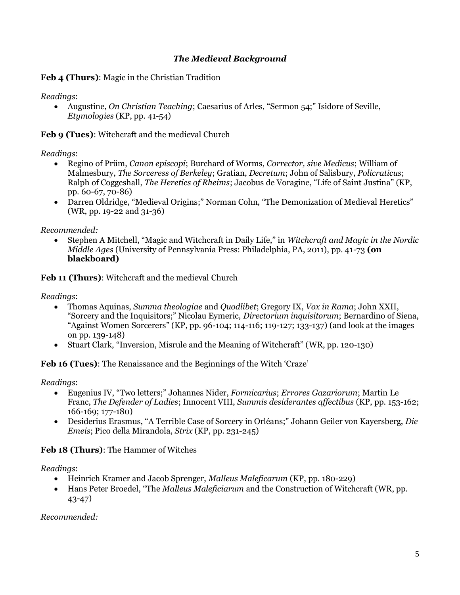## *The Medieval Background*

**Feb 4 (Thurs)**: Magic in the Christian Tradition

*Readings*:

• Augustine, *On Christian Teaching*; Caesarius of Arles, "Sermon 54;" Isidore of Seville, *Etymologies* (KP, pp. 41-54)

**Feb 9 (Tues)**: Witchcraft and the medieval Church

### *Readings*:

- Regino of Prüm, *Canon episcopi*; Burchard of Worms, *Corrector, sive Medicus*; William of Malmesbury, *The Sorceress of Berkeley*; Gratian, *Decretum*; John of Salisbury, *Policraticus*; Ralph of Coggeshall, *The Heretics of Rheims*; Jacobus de Voragine, "Life of Saint Justina" (KP, pp. 60-67, 70-86)
- Darren Oldridge, "Medieval Origins;" Norman Cohn, "The Demonization of Medieval Heretics" (WR, pp. 19-22 and 31-36)

*Recommended:*

• Stephen A Mitchell, "Magic and Witchcraft in Daily Life," in *Witchcraft and Magic in the Nordic Middle Ages* (University of Pennsylvania Press: Philadelphia, PA, 2011), pp. 41-73 **(on blackboard)**

**Feb 11 (Thurs)**: Witchcraft and the medieval Church

*Readings*:

- Thomas Aquinas, *Summa theologiae* and *Quodlibet*; Gregory IX, *Vox in Rama*; John XXII, "Sorcery and the Inquisitors;" Nicolau Eymeric, *Directorium inquisitorum*; Bernardino of Siena, "Against Women Sorcerers" (KP, pp. 96-104; 114-116; 119-127; 133-137) (and look at the images on pp. 139-148)
- Stuart Clark, "Inversion, Misrule and the Meaning of Witchcraft" (WR, pp. 120-130)

**Feb 16 (Tues)**: The Renaissance and the Beginnings of the Witch 'Craze'

*Readings*:

- Eugenius IV, "Two letters;" Johannes Nider, *Formicarius*; *Errores Gazariorum*; Martin Le Franc, *The Defender of Ladies*; Innocent VIII, *Summis desiderantes affectibus* (KP, pp. 153-162; 166-169; 177-180)
- Desiderius Erasmus, "A Terrible Case of Sorcery in Orléans;" Johann Geiler von Kayersberg, *Die Emeis*; Pico della Mirandola, *Strix* (KP, pp. 231-245)

**Feb 18 (Thurs)**: The Hammer of Witches

*Readings*:

- Heinrich Kramer and Jacob Sprenger, *Malleus Maleficarum* (KP, pp. 180-229)
- Hans Peter Broedel, "The *Malleus Maleficiarum* and the Construction of Witchcraft (WR, pp. 43-47)

*Recommended:*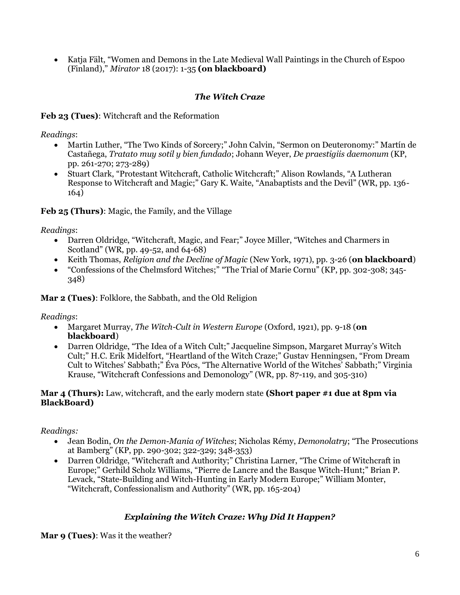• Katja Fält, "Women and Demons in the Late Medieval Wall Paintings in the Church of Espoo (Finland)," *Mirator* 18 (2017): 1-35 **(on blackboard)**

## *The Witch Craze*

**Feb 23 (Tues)**: Witchcraft and the Reformation

*Readings*:

- Martin Luther, "The Two Kinds of Sorcery;" John Calvin, "Sermon on Deuteronomy:" Martín de Castañega, *Tratato muy sotil y bien fundado*; Johann Weyer, *De praestigiis daemonum* (KP, pp. 261-270; 273-289)
- Stuart Clark, "Protestant Witchcraft, Catholic Witchcraft;" Alison Rowlands, "A Lutheran Response to Witchcraft and Magic;" Gary K. Waite, "Anabaptists and the Devil" (WR, pp. 136- 164)

### **Feb 25 (Thurs)**: Magic, the Family, and the Village

*Readings*:

- Darren Oldridge, "Witchcraft, Magic, and Fear;" Joyce Miller, "Witches and Charmers in Scotland" (WR, pp. 49-52, and 64-68)
- Keith Thomas, *Religion and the Decline of Magic* (New York, 1971), pp. 3-26 (**on blackboard**)
- "Confessions of the Chelmsford Witches;" "The Trial of Marie Cornu" (KP, pp. 302-308; 345- 348)

**Mar 2 (Tues)**: Folklore, the Sabbath, and the Old Religion

*Readings*:

- Margaret Murray, *The Witch-Cult in Western Europe* (Oxford, 1921), pp. 9-18 (**on blackboard**)
- Darren Oldridge, "The Idea of a Witch Cult;" Jacqueline Simpson, Margaret Murray's Witch Cult;" H.C. Erik Midelfort, "Heartland of the Witch Craze;" Gustav Henningsen, "From Dream Cult to Witches' Sabbath;" Éva Pócs, "The Alternative World of the Witches' Sabbath;" Virginia Krause, "Witchcraft Confessions and Demonology" (WR, pp. 87-119, and 305-310)

### **Mar 4 (Thurs):** Law, witchcraft, and the early modern state **(Short paper #1 due at 8pm via BlackBoard)**

#### *Readings:*

- Jean Bodin, *On the Demon-Mania of Witches*; Nicholas Rémy, *Demonolatry*; "The Prosecutions at Bamberg" (KP, pp. 290-302; 322-329; 348-353)
- Darren Oldridge, "Witchcraft and Authority;" Christina Larner, "The Crime of Witchcraft in Europe;" Gerhild Scholz Williams, "Pierre de Lancre and the Basque Witch-Hunt;" Brian P. Levack, "State-Building and Witch-Hunting in Early Modern Europe;" William Monter, "Witchcraft, Confessionalism and Authority" (WR, pp. 165-204)

# *Explaining the Witch Craze: Why Did It Happen?*

**Mar 9 (Tues)**: Was it the weather?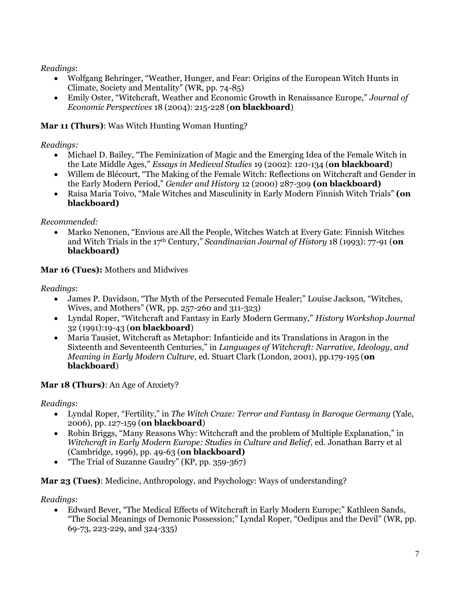*Readings*:

- Wolfgang Behringer, "Weather, Hunger, and Fear: Origins of the European Witch Hunts in Climate, Society and Mentality" (WR, pp. 74-85)
- Emily Oster, "Witchcraft, Weather and Economic Growth in Renaissance Europe," *Journal of Economic Perspectives* 18 (2004): 215-228 (**on blackboard**)

# **Mar 11 (Thurs)**: Was Witch Hunting Woman Hunting?

# *Readings:*

- Michael D. Bailey, "The Feminization of Magic and the Emerging Idea of the Female Witch in the Late Middle Ages," *[Essays in Medieval Studies](http://muse.jhu.edu/journals/%20%20essays_in_medieval_studies/v019/19.1bailey.html)* 19 (2002): 120-134 (**on blackboard**)
- Willem de Blécourt, "The Making of the Female Witch: Reflections on Witchcraft and Gender in the Early Modern Period," *Gender and History* 12 (2000) 287-309 **(on blackboard)**
- Raisa Maria Toivo, "Male Witches and Masculinity in Early Modern Finnish Witch Trials" **(on blackboard)**

# *Recommended:*

• Marko Nenonen, "Envious are All the People, Witches Watch at Every Gate: Finnish Witches and Witch Trials in the 17th Century," *Scandinavian Journal of History* 18 (1993): 77-91 (**on blackboard)**

# **Mar 16 (Tues):** Mothers and Midwives

*Readings*:

- James P. Davidson, "The Myth of the Persecuted Female Healer;" Louise Jackson, "Witches, Wives, and Mothers" (WR, pp. 257-260 and 311-323)
- Lyndal Roper, "Witchcraft and Fantasy in Early Modern Germany," *History Workshop Journal*  32 (1991):19-43 (**on blackboard**)
- Maria Tausiet, Witchcraft as Metaphor: Infanticide and its Translations in Aragon in the Sixteenth and Seventeenth Centuries," in *Languages of Witchcraft: Narrative, Ideology, and Meaning in Early Modern Culture*, ed. Stuart Clark (London, 2001), pp.179-195 (**on blackboard**)

# **Mar 18 (Thurs)**: An Age of Anxiety?

# *Readings*:

- Lyndal Roper, "Fertility," in *The Witch Craze: Terror and Fantasy in Baroque Germany* (Yale, 2006), pp. 127-159 (**on blackboard**)
- Robin Briggs, "Many Reasons Why: Witchcraft and the problem of Multiple Explanation," in *Witchcraft in Early Modern Europe: Studies in Culture and Belief*, ed. Jonathan Barry et al (Cambridge, 1996), pp. 49-63 (**on blackboard)**
- "The Trial of Suzanne Gaudry" (KP, pp. 359-367)

# **Mar 23 (Tues)**: Medicine, Anthropology, and Psychology: Ways of understanding?

# *Readings*:

• Edward Bever, "The Medical Effects of Witchcraft in Early Modern Europe;" Kathleen Sands, "The Social Meanings of Demonic Possession;" Lyndal Roper, "Oedipus and the Devil" (WR, pp. 69-73, 223-229, and 324-335)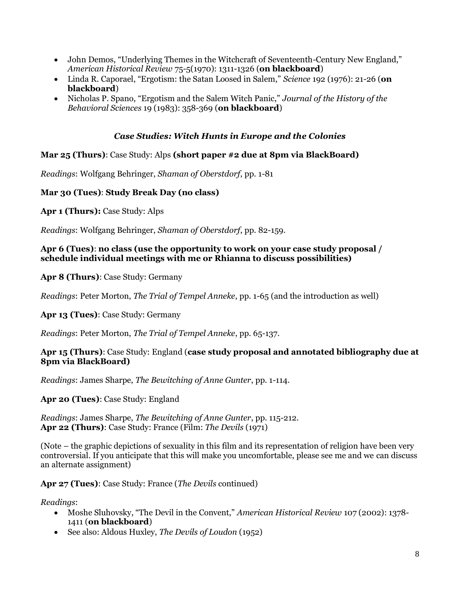- John Demos, "Underlying Themes in the Witchcraft of Seventeenth-Century New England," *American Historical Review* 75-5(1970): 1311-1326 (**on blackboard**)
- Linda R. Caporael, "Ergotism: the Satan Loosed in Salem," *Science* 192 (1976): 21-26 (**on blackboard**)
- Nicholas P. Spano, "Ergotism and the Salem Witch Panic," *Journal of the History of the Behavioral Sciences* 19 (1983): 358-369 (**on blackboard**)

## *Case Studies: Witch Hunts in Europe and the Colonies*

### **Mar 25 (Thurs)**: Case Study: Alps **(short paper #2 due at 8pm via BlackBoard)**

*Readings*: Wolfgang Behringer, *Shaman of Oberstdorf*, pp. 1-81

### **Mar 30 (Tues)**: **Study Break Day (no class)**

**Apr 1 (Thurs):** Case Study: Alps

*Readings*: Wolfgang Behringer, *Shaman of Oberstdorf*, pp. 82-159.

#### **Apr 6 (Tues)**: **no class (use the opportunity to work on your case study proposal / schedule individual meetings with me or Rhianna to discuss possibilities)**

**Apr 8 (Thurs)**: Case Study: Germany

*Readings*: Peter Morton, *The Trial of Tempel Anneke*, pp. 1-65 (and the introduction as well)

**Apr 13 (Tues)**: Case Study: Germany

*Readings*: Peter Morton, *The Trial of Tempel Anneke*, pp. 65-137.

### **Apr 15 (Thurs)**: Case Study: England (**case study proposal and annotated bibliography due at 8pm via BlackBoard)**

*Readings*: James Sharpe, *The Bewitching of Anne Gunter*, pp. 1-114.

**Apr 20 (Tues)**: Case Study: England

*Readings*: James Sharpe, *The Bewitching of Anne Gunter*, pp. 115-212. **Apr 22 (Thurs)**: Case Study: France (Film: *The Devils* (1971)

(Note – the graphic depictions of sexuality in this film and its representation of religion have been very controversial. If you anticipate that this will make you uncomfortable, please see me and we can discuss an alternate assignment)

**Apr 27 (Tues)**: Case Study: France (*The Devils* continued)

*Readings*:

- Moshe Sluhovsky, "The Devil in the Convent," *American Historical Review* 107 (2002): 1378- 1411 (**on blackboard**)
- See also: Aldous Huxley, *The Devils of Loudon* (1952)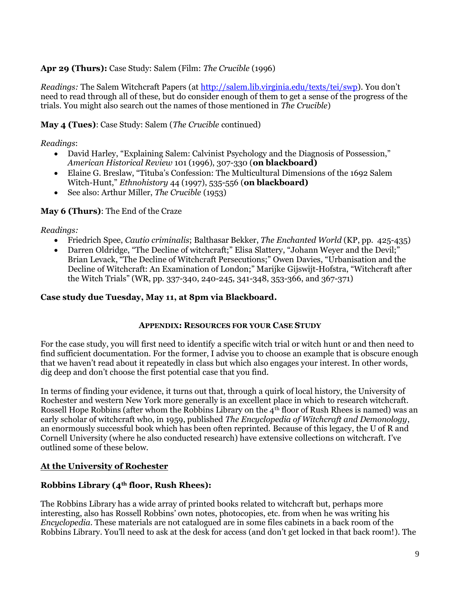### **Apr 29 (Thurs):** Case Study: Salem (Film: *The Crucible* (1996)

*Readings:* The Salem Witchcraft Papers (at<http://salem.lib.virginia.edu/texts/tei/swp>). You don't need to read through all of these, but do consider enough of them to get a sense of the progress of the trials. You might also search out the names of those mentioned in *The Crucible*)

### **May 4 (Tues)**: Case Study: Salem (*The Crucible* continued)

### *Readings*:

- David Harley, "Explaining Salem: Calvinist Psychology and the Diagnosis of Possession," *American Historical Review* 101 (1996), 307-330 (**on blackboard)**
- Elaine G. Breslaw, "Tituba's Confession: The Multicultural Dimensions of the 1692 Salem Witch-Hunt," *Ethnohistory* 44 (1997), 535-556 (**on blackboard)**
- See also: Arthur Miller, *The Crucible* (1953)

### **May 6 (Thurs)**: The End of the Craze

#### *Readings:*

- Friedrich Spee, *Cautio criminalis*; Balthasar Bekker, *The Enchanted World* (KP, pp. 425-435)
- Darren Oldridge, "The Decline of witchcraft;" Elisa Slattery, "Johann Weyer and the Devil;" Brian Levack, "The Decline of Witchcraft Persecutions;" Owen Davies, "Urbanisation and the Decline of Witchcraft: An Examination of London;" Marijke Gijswijt-Hofstra, "Witchcraft after the Witch Trials" (WR, pp. 337-340, 240-245, 341-348, 353-366, and 367-371)

#### **Case study due Tuesday, May 11, at 8pm via Blackboard.**

#### **APPENDIX: RESOURCES FOR YOUR CASE STUDY**

For the case study, you will first need to identify a specific witch trial or witch hunt or and then need to find sufficient documentation. For the former, I advise you to choose an example that is obscure enough that we haven't read about it repeatedly in class but which also engages your interest. In other words, dig deep and don't choose the first potential case that you find.

In terms of finding your evidence, it turns out that, through a quirk of local history, the University of Rochester and western New York more generally is an excellent place in which to research witchcraft. Rossell Hope Robbins (after whom the Robbins Library on the 4th floor of Rush Rhees is named) was an early scholar of witchcraft who, in 1959, published *The Encyclopedia of Witchcraft and Demonology*, an enormously successful book which has been often reprinted. Because of this legacy, the U of R and Cornell University (where he also conducted research) have extensive collections on witchcraft. I've outlined some of these below.

### **At the University of Rochester**

### **Robbins Library (4th floor, Rush Rhees):**

The Robbins Library has a wide array of printed books related to witchcraft but, perhaps more interesting, also has Rossell Robbins' own notes, photocopies, etc. from when he was writing his *Encyclopedia*. These materials are not catalogued are in some files cabinets in a back room of the Robbins Library. You'll need to ask at the desk for access (and don't get locked in that back room!). The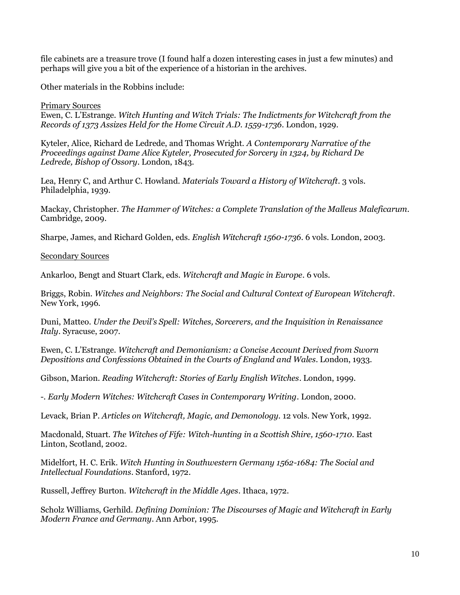file cabinets are a treasure trove (I found half a dozen interesting cases in just a few minutes) and perhaps will give you a bit of the experience of a historian in the archives.

Other materials in the Robbins include:

#### Primary Sources

Ewen, C. L'Estrange. *Witch Hunting and Witch Trials: The Indictments for Witchcraft from the Records of 1373 Assizes Held for the Home Circuit A.D. 1559-1736*. London, 1929.

Kyteler, Alice, Richard de Ledrede, and Thomas Wright. *A Contemporary Narrative of the Proceedings against Dame Alice Kyteler, Prosecuted for Sorcery in 1324, by Richard De Ledrede, Bishop of Ossory*. London, 1843.

Lea, Henry C, and Arthur C. Howland. *Materials Toward a History of Witchcraft*. 3 vols. Philadelphia, 1939.

Mackay, Christopher. *The Hammer of Witches: a Complete Translation of the Malleus Maleficarum*. Cambridge, 2009.

Sharpe, James, and Richard Golden, eds. *English Witchcraft 1560-1736*. 6 vols. London, 2003.

Secondary Sources

Ankarloo, Bengt and Stuart Clark, eds. *Witchcraft and Magic in Europe*. 6 vols.

Briggs, Robin. *Witches and Neighbors: The Social and Cultural Context of European Witchcraft*. New York, 1996.

Duni, Matteo. *Under the Devil's Spell: Witches, Sorcerers, and the Inquisition in Renaissance Italy*. Syracuse, 2007.

Ewen, C. L'Estrange. *Witchcraft and Demonianism: a Concise Account Derived from Sworn Depositions and Confessions Obtained in the Courts of England and Wales*. London, 1933.

Gibson, Marion. *Reading Witchcraft: Stories of Early English Witches*. London, 1999.

-. *Early Modern Witches: Witchcraft Cases in Contemporary Writing*. London, 2000.

Levack, Brian P. *Articles on Witchcraft, Magic, and Demonology*. 12 vols. New York, 1992.

Macdonald, Stuart. *The Witches of Fife: Witch-hunting in a Scottish Shire, 1560-1710*. East Linton, Scotland, 2002.

Midelfort, H. C. Erik. *Witch Hunting in Southwestern Germany 1562-1684: The Social and Intellectual Foundations*. Stanford, 1972.

Russell, Jeffrey Burton. *Witchcraft in the Middle Ages*. Ithaca, 1972.

Scholz Williams, Gerhild. *Defining Dominion: The Discourses of Magic and Witchcraft in Early Modern France and Germany*. Ann Arbor, 1995.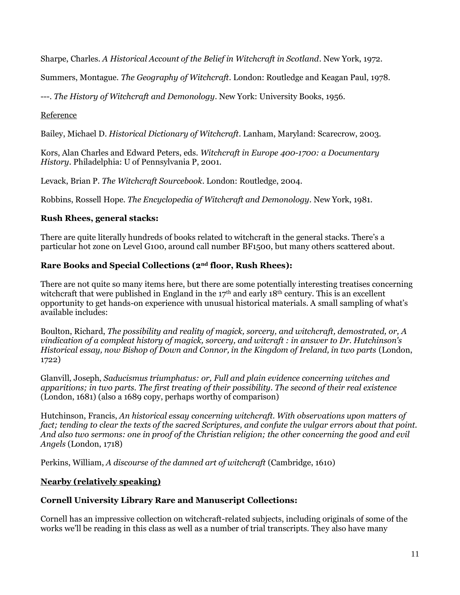Sharpe, Charles. *A Historical Account of the Belief in Witchcraft in Scotland*. New York, 1972.

Summers, Montague. *The Geography of Witchcraft*. London: Routledge and Keagan Paul, 1978.

---. *The History of Witchcraft and Demonology*. New York: University Books, 1956.

### Reference

Bailey, Michael D. *Historical Dictionary of Witchcraft*. Lanham, Maryland: Scarecrow, 2003.

Kors, Alan Charles and Edward Peters, eds. *Witchcraft in Europe 400-1700: a Documentary History*. Philadelphia: U of Pennsylvania P, 2001.

Levack, Brian P. *The Witchcraft Sourcebook*. London: Routledge, 2004.

Robbins, Rossell Hope. *The Encyclopedia of Witchcraft and Demonology*. New York, 1981.

### **Rush Rhees, general stacks:**

There are quite literally hundreds of books related to witchcraft in the general stacks. There's a particular hot zone on Level G100, around call number BF1500, but many others scattered about.

### **Rare Books and Special Collections (2nd floor, Rush Rhees):**

There are not quite so many items here, but there are some potentially interesting treatises concerning witchcraft that were published in England in the 17<sup>th</sup> and early 18<sup>th</sup> century. This is an excellent opportunity to get hands-on experience with unusual historical materials. A small sampling of what's available includes:

Boulton, Richard, *The possibility and reality of magick, sorcery, and witchcraft, demostrated, or, A vindication of a compleat history of magick, sorcery, and witcraft : in answer to Dr. Hutchinson's Historical essay, now Bishop of Down and Connor, in the Kingdom of Ireland, in two parts* (London, 1722)

Glanvill, Joseph, *Saducismus triumphatus: or, Full and plain evidence concerning witches and apparitions; in two parts. The first treating of their possibility. The second of their real existence* (London, 1681) (also a 1689 copy, perhaps worthy of comparison)

Hutchinson, Francis, *An historical essay concerning witchcraft. With observations upon matters of fact; tending to clear the texts of the sacred Scriptures, and confute the vulgar errors about that point. And also two sermons: one in proof of the Christian religion; the other concerning the good and evil Angels* (London, 1718)

Perkins, William, *A discourse of the damned art of witchcraft* (Cambridge, 1610)

### **Nearby (relatively speaking)**

### **Cornell University Library Rare and Manuscript Collections:**

Cornell has an impressive collection on witchcraft-related subjects, including originals of some of the works we'll be reading in this class as well as a number of trial transcripts. They also have many